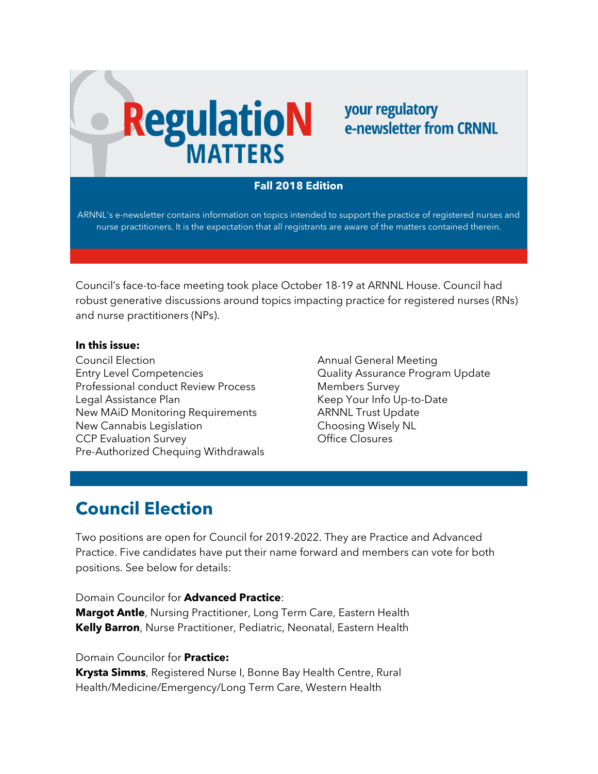# **RegulatioN**

#### your regulatory e-newsletter from CRNNL

#### **Fall 2018 Edition**

ARNNL's e-newsletter contains information on topics intended to support the practice of registered nurses and nurse practitioners. It is the expectation that all registrants are aware of the matters contained therein.

Council's face-to-face meeting took place October 18-19 at ARNNL House. Council had robust generative discussions around topics impacting practice for registered nurses (RNs) and nurse practitioners (NPs).

#### **In this issue:**

Council Election Entry Level Competencies Professional conduct Review Process Legal Assistance Plan New MAiD Monitoring Requirements New Cannabis Legislation CCP Evaluation Survey Pre-Authorized Chequing Withdrawals Annual General Meeting Quality Assurance Program Update Members Survey Keep Your Info Up-to-Date ARNNL Trust Update Choosing Wisely NL Office Closures

## **Council Election**

Two positions are open for Council for 2019-2022. They are Practice and Advanced Practice. Five candidates have put their name forward and members can vote for both positions. See below for details:

Domain Councilor for **Advanced Practice**:

**Margot Antle**, Nursing Practitioner, Long Term Care, Eastern Health **Kelly Barron**, Nurse Practitioner, Pediatric, Neonatal, Eastern Health

#### Domain Councilor for **Practice:**

**Krysta Simms**, Registered Nurse I, Bonne Bay Health Centre, Rural Health/Medicine/Emergency/Long Term Care, Western Health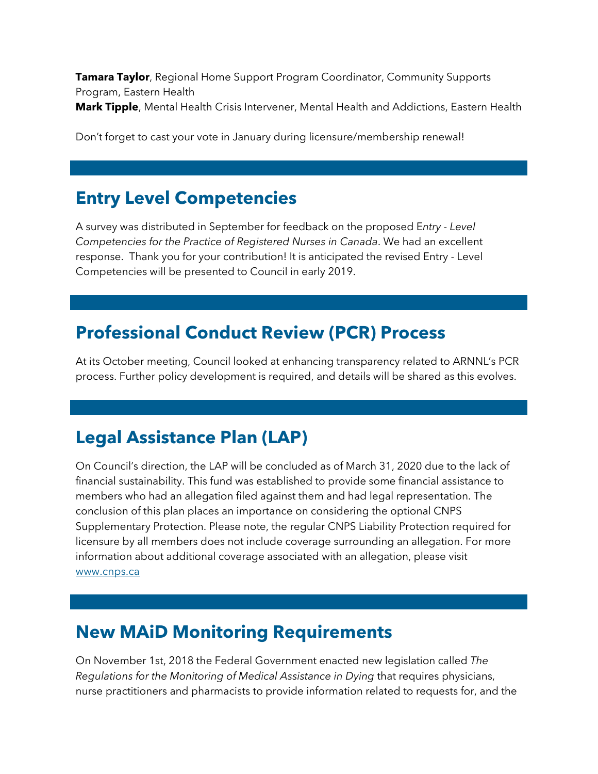**Tamara Taylor**, Regional Home Support Program Coordinator, Community Supports Program, Eastern Health

**Mark Tipple**, Mental Health Crisis Intervener, Mental Health and Addictions, Eastern Health

Don't forget to cast your vote in January during licensure/membership renewal!

## **Entry Level Competencies**

A survey was distributed in September for feedback on the proposed E*ntry - Level Competencies for the Practice of Registered Nurses in Canada*. We had an excellent response. Thank you for your contribution! It is anticipated the revised Entry - Level Competencies will be presented to Council in early 2019.

# **Professional Conduct Review (PCR) Process**

At its October meeting, Council looked at enhancing transparency related to ARNNL's PCR process. Further policy development is required, and details will be shared as this evolves.

# **Legal Assistance Plan (LAP)**

On Council's direction, the LAP will be concluded as of March 31, 2020 due to the lack of financial sustainability. This fund was established to provide some financial assistance to members who had an allegation filed against them and had legal representation. The conclusion of this plan places an importance on considering the optional CNPS Supplementary Protection. Please note, the regular CNPS Liability Protection required for licensure by all members does not include coverage surrounding an allegation. For more information about additional coverage associated with an allegation, please visit [www.cnps.ca](http://www.cnps.ca/)

#### **New MAiD Monitoring Requirements**

On November 1st, 2018 the Federal Government enacted new legislation called *The Regulations for the Monitoring of Medical Assistance in Dying* that requires physicians, nurse practitioners and pharmacists to provide information related to requests for, and the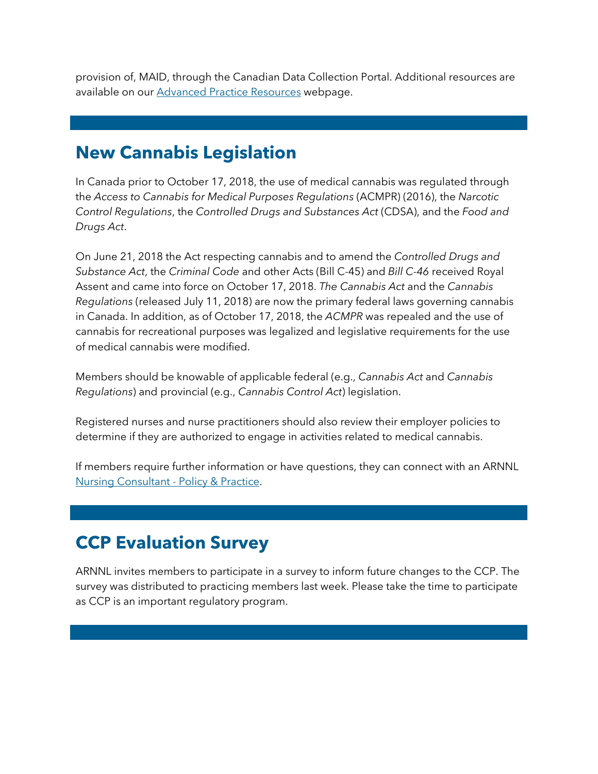provision of, MAID, through the Canadian Data Collection Portal. Additional resources are available on our [Advanced Practice Resources](https://crnnl.ca/advanced-practice-resources) webpage.

#### **New Cannabis Legislation**

In Canada prior to October 17, 2018, the use of medical cannabis was regulated through the *Access to Cannabis for Medical Purposes Regulations* (ACMPR) (2016), the *Narcotic Control Regulations*, the *Controlled Drugs and Substances Act* (CDSA), and the *Food and Drugs Act*.

On June 21, 2018 the Act respecting cannabis and to amend the *Controlled Drugs and Substance Act*, the *Criminal Code* and other Acts (Bill C-45) and *Bill C-46* received Royal Assent and came into force on October 17, 2018. *The Cannabis Act* and the *Cannabis Regulations* (released July 11, 2018) are now the primary federal laws governing cannabis in Canada. In addition, as of October 17, 2018, the *ACMPR* was repealed and the use of cannabis for recreational purposes was legalized and legislative requirements for the use of medical cannabis were modified.

Members should be knowable of applicable federal (e.g., *Cannabis Act* and *Cannabis Regulations*) and provincial (e.g., *Cannabis Control Act*) legislation.

Registered nurses and nurse practitioners should also review their employer policies to determine if they are authorized to engage in activities related to medical cannabis.

If members require further information or have questions, they can connect with an ARNNL [Nursing Consultant -](https://crnnl.ca/connect-practice-consultant) Policy & Practice.

### **CCP Evaluation Survey**

ARNNL invites members to participate in a survey to inform future changes to the CCP. The survey was distributed to practicing members last week. Please take the time to participate as CCP is an important regulatory program.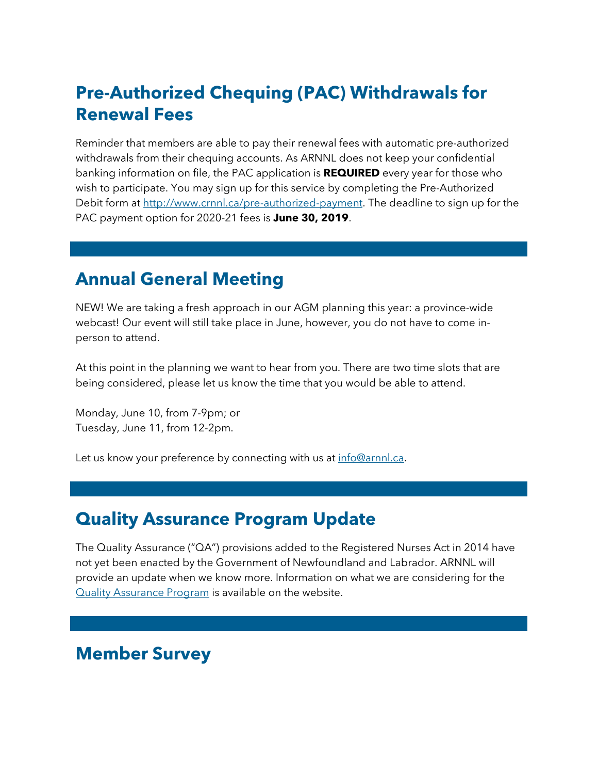# **Pre-Authorized Chequing (PAC) Withdrawals for Renewal Fees**

Reminder that members are able to pay their renewal fees with automatic pre-authorized withdrawals from their chequing accounts. As ARNNL does not keep your confidential banking information on file, the PAC application is **REQUIRED** every year for those who wish to participate. You may sign up for this service by completing the Pre-Authorized Debit form at [http://www.crnnl.ca/pre-authorized-payment.](http://www.crnnl.ca/pre-authorized-payment) The deadline to sign up for the PAC payment option for 2020-21 fees is **June 30, 2019**.

#### **Annual General Meeting**

NEW! We are taking a fresh approach in our AGM planning this year: a province-wide webcast! Our event will still take place in June, however, you do not have to come inperson to attend.

At this point in the planning we want to hear from you. There are two time slots that are being considered, please let us know the time that you would be able to attend.

Monday, June 10, from 7-9pm; or Tuesday, June 11, from 12-2pm.

Let us know your preference by connecting with us at [info@arnnl.ca.](mailto:info@arnnl.ca)

# **Quality Assurance Program Update**

The Quality Assurance ("QA") provisions added to the Registered Nurses Act in 2014 have not yet been enacted by the Government of Newfoundland and Labrador. ARNNL will provide an update when we know more. Information on what we are considering for the [Quality Assurance Program](https://www.crnnl.ca/quality-assurance-program) is available on the website.

#### **Member Survey**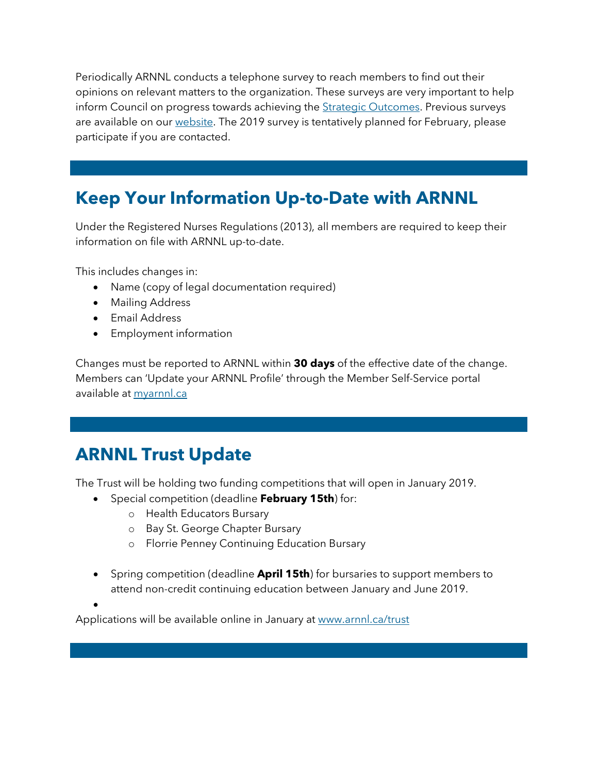Periodically ARNNL conducts a telephone survey to reach members to find out their opinions on relevant matters to the organization. These surveys are very important to help inform Council on progress towards achieving the [Strategic Outcomes.](https://www.arnnl.ca/sites/default/files/council_policies_Strategic_Outcomes_ARIAL.pdf) Previous surveys are available on our [website.](https://arnnl.ca/member-survey) The 2019 survey is tentatively planned for February, please participate if you are contacted.

# **Keep Your Information Up-to-Date with ARNNL**

Under the Registered Nurses Regulations (2013), all members are required to keep their information on file with ARNNL up-to-date.

This includes changes in:

- Name (copy of legal documentation required)
- Mailing Address
- Email Address
- Employment information

Changes must be reported to ARNNL within **30 days** of the effective date of the change. Members can 'Update your ARNNL Profile' through the Member Self-Service portal available a[t myarnnl.ca](https://mycrnnl.ca/)

## **ARNNL Trust Update**

The Trust will be holding two funding competitions that will open in January 2019.

- Special competition (deadline **February 15th**) for:
	- o Health Educators Bursary
	- o Bay St. George Chapter Bursary
	- o Florrie Penney Continuing Education Bursary
- Spring competition (deadline **April 15th**) for bursaries to support members to attend non-credit continuing education between January and June 2019.

•

Applications will be available online in January at [www.arnnl.ca/trust](http://www.arnnl.ca/trust)